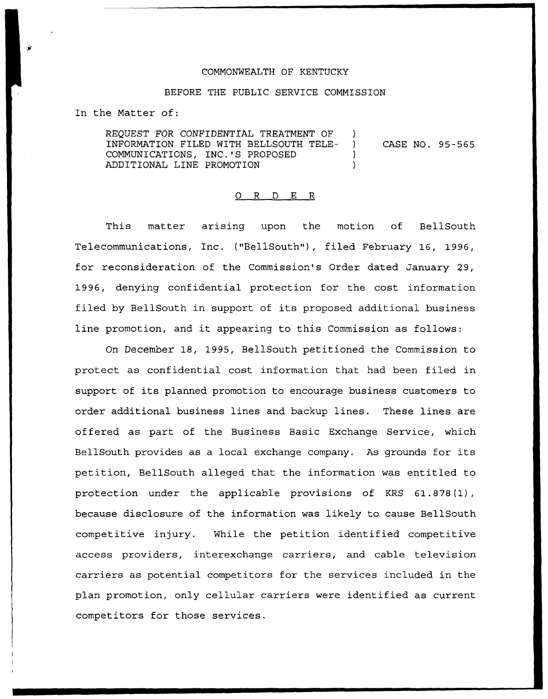## COMMONWEALTH OF KENTUCKY

## BEFORE THE PUBLIC SERVICE COMMISSION

In the Matter of:

REQUEST FOR CONFIDENTIAL TREATMENT OF )<br>INFORMATION FILED WITH BELLSOUTH TELE- ) INFORMATION FILED WITH BELLSOUTH TELE- ) COMMUNICATIONS, INC.'S PROPOSED ) ADDITIONAL LINE PROMOTION ) CASE NO. 95-565

## 0 R <sup>D</sup> E R

This matter arising upon the motion of BellSouth Telecommunications, Inc. ("BellSouth"), filed February 16, 1996, for reconsideration of the Commission's Order dated January 29, 1996, denying confidential protection for the cost information filed by BellSouth in support of its proposed additional business line promotion, and it appearing to this Commission as follows:

On December 18, 1995, BellSouth petitioned the Commission to protect as confidential cost information that had been filed in support of its planned promotion to encourage business customers to order additional business lines and backup lines. These lines are offered as part of the Business Basic Exchange Service, which BellSouth provides as <sup>a</sup> local exchange company. As grounds for its petition, BellSouth alleged that the information was entitled to protection under the applicable provisions of KRS 61.878(1), because disclosure of the information was likely to cause BellSouth competitive injury. While the petition identified competitive access providers, interexchange carriers, and cable television carriers as potential competitors for the services included in the plan promotion, only cellular carriers were identified as current competitors for those services.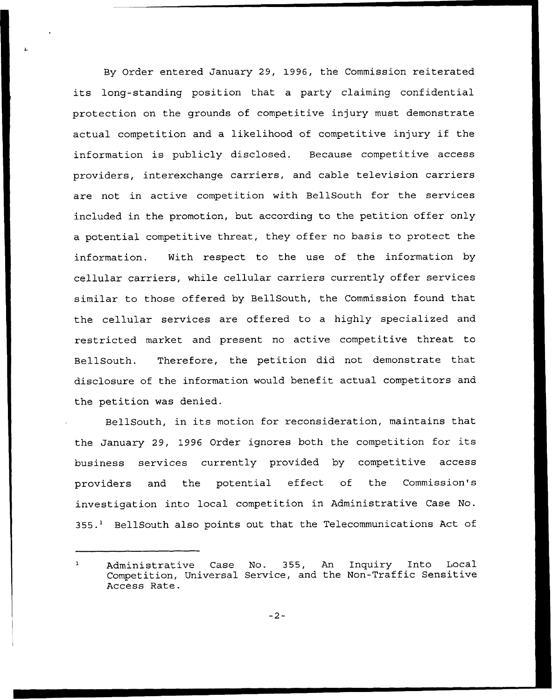By Order entered January 29, 1996, the Commission reiterated its long-standing position that <sup>a</sup> party claiming confidential protection on the grounds of competitive injury must demonstrate actual competition and <sup>a</sup> likelihood of competitive injury if the information is publicly disclosed. Because competitive access providers, interexchange carriers, and cable television carriers are not in active competition with BellSouth for the services included in the promotion, but according to the petition offer only a potential competitive threat, they offer no basis to protect the information. With respect to the use of the information by cellular carriers, while cellular carriers currently offer services similar to those offered by BellSouth, the Commission found that the cellular services are offered to a highly specialized and restricted market and present no active competitive threat to BellSouth. Therefore, the petition did not demonstrate that disclosure of the information would benefit actual competitors and the petition was denied.

BellSouth, in its motion for reconsideration, maintains that the January 29, 1996 Order ignores both the competition for its business services currently provided by competitive access providers and the potential effect of the Commission's investigation into local competition in Administrative Case No. 355.<sup>1</sup> BellSouth also points out that the Telecommunications Act of

Administrative Case No. 355, An Inquiry Into Local  $\mathbf{1}$ Competition, Universal Service, and the Non-Traffic Sensitive Access Rate.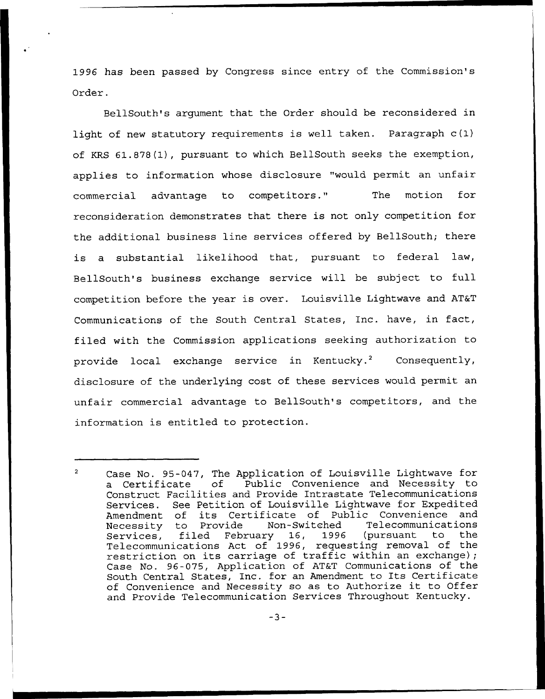1996 has been passed by Congress since entry of the Commission's Order.

BellSouth's argument that the Order should be reconsidered in light of new statutory requirements is well taken. Paragraph c(1) of KRS 61.878(1), pursuant to which BellSouth seeks the exemption, applies to information whose disclosure "would permit an unfair commercial advantage to competitors." The motion for reconsideration demonstrates that there is not only competition for the additional business line services offered by BellSouth; there is a substantial likelihood that, pursuant to federal law, BellSouth's business exchange service will be subject to full competition before the year is over. Louisville Lightwave and AT&T Communications of the South Central States, Inc. have, in fact, filed with the Commission applications seeking authorization to provide local exchange service in Kentucky.<sup>2</sup> Consequently, disclosure of the underlying cost of these services would permit an unfair commercial advantage to BellSouth's competitors, and the information is entitled to protection.

 $\overline{2}$ Case No. 95-047, The Application of Louisville Lightwave for<br>a Certificate of Public Convenience and Necessity to Public Convenience and Necessity to Construct Facilities and Provide Intrastate Telecommunications Services. See Petition of Louisville Lightwave for Expedited<br>Amendment, of its Certificate of Public Convenience and Amendment of its Certificate of Public Convenience and<br>Necessity to Provide Non-Switched Telecommunications Necessity to Provide Services, filed February 16, 1996 (pursuant to the Telecommunications Act of 1996, requesting removal of the restriction on its carriage of traffic within an exchange); Case No. 96-075, Application of AT&T Communications of the South Central States, Inc. for an Amendment to Its Certificate of Convenience and Necessity so as to Authorize it to Offer and Provide Telecommunication Services Throughout Kentucky.